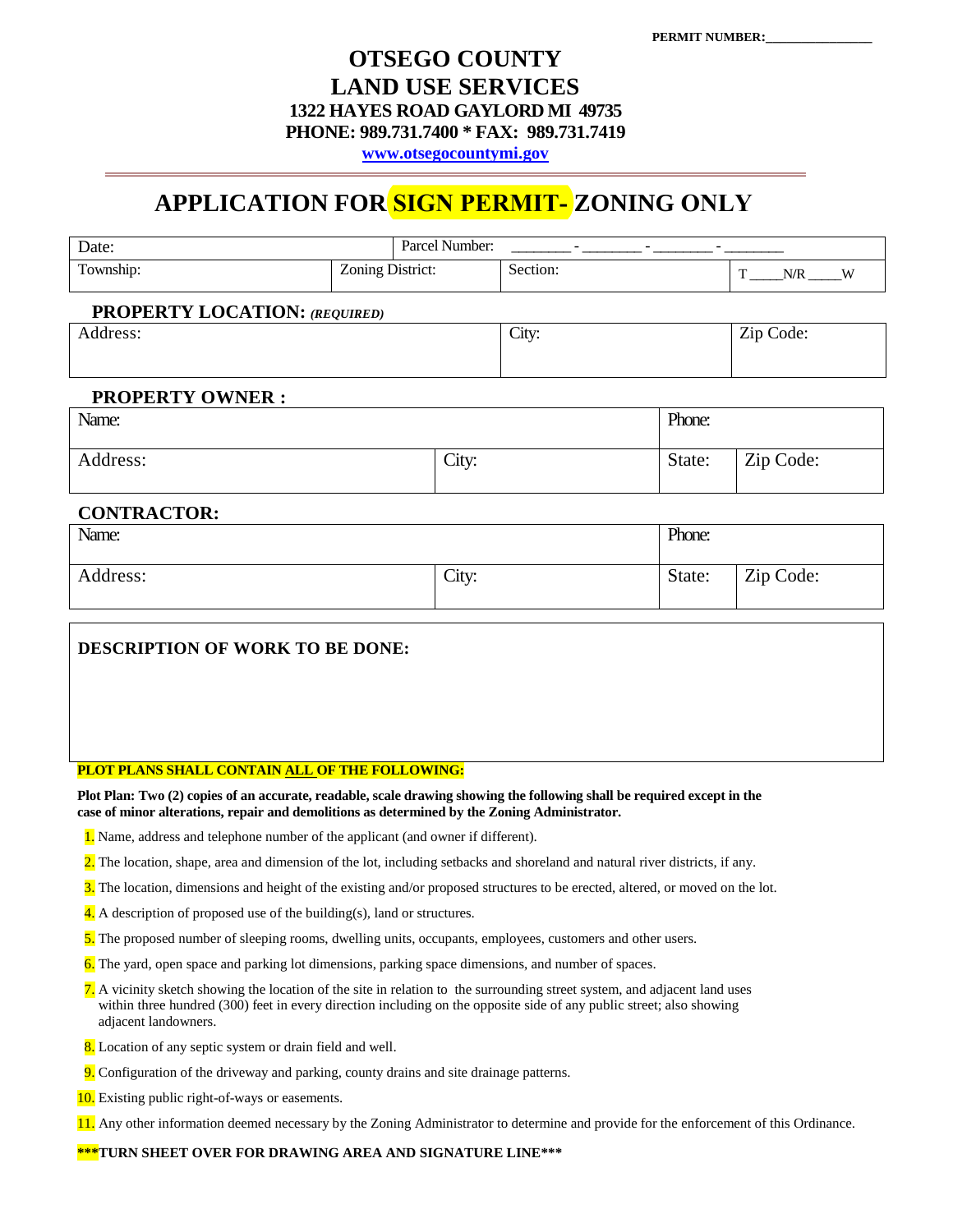# **OTSEGO COUNTY LAND USE SERVICES 1322 HAYES ROAD GAYLORD MI 49735 PHONE: 989.731.7400 \* FAX: 989.731.7419**

**[www.otsegocountymi.gov](http://www.otsegocountymi.gov/)**

# **APPLICATION FOR SIGN PERMIT- ZONING ONLY**

| Date:                     |                  | Parcel Number: | $-$      | - |   |     |    |
|---------------------------|------------------|----------------|----------|---|---|-----|----|
| Township:<br>$\mathbf{r}$ | Zoning District: |                | Section: |   | Ē | N/R | τv |

## **PROPERTY LOCATION:** *(REQUIRED)*

| $\sim$ -<br>Address: | City: | Zip Code: |
|----------------------|-------|-----------|
|                      |       |           |

#### **PROPERTY OWNER :**

| Name:    |       | Phone: |           |  |
|----------|-------|--------|-----------|--|
| Address: | City: | State: | Zip Code: |  |

### **CONTRACTOR:**

| Name:    |       | Phone: |           |  |
|----------|-------|--------|-----------|--|
| Address: | City: | State: | Zip Code: |  |

**DESCRIPTION OF WORK TO BE DONE:**

#### **PLOT PLANS SHALL CONTAIN ALL OF THE FOLLOWING:**

**Plot Plan: Two (2) copies of an accurate, readable, scale drawing showing the following shall be required except in the case of minor alterations, repair and demolitions as determined by the Zoning Administrator.** 

- 1. Name, address and telephone number of the applicant (and owner if different).
- 2. The location, shape, area and dimension of the lot, including setbacks and shoreland and natural river districts, if any.
- 3. The location, dimensions and height of the existing and/or proposed structures to be erected, altered, or moved on the lot.
- $\frac{4}{1}$ . A description of proposed use of the building(s), land or structures.
- 5. The proposed number of sleeping rooms, dwelling units, occupants, employees, customers and other users.
- 6. The yard, open space and parking lot dimensions, parking space dimensions, and number of spaces.
- 7. A vicinity sketch showing the location of the site in relation to the surrounding street system, and adjacent land uses within three hundred (300) feet in every direction including on the opposite side of any public street; also showing adjacent landowners.
- 8. Location of any septic system or drain field and well.
- 9. Configuration of the driveway and parking, county drains and site drainage patterns.
- 10. Existing public right-of-ways or easements.
- 11. Any other information deemed necessary by the Zoning Administrator to determine and provide for the enforcement of this Ordinance.

**\*\*\*TURN SHEET OVER FOR DRAWING AREA AND SIGNATURE LINE\*\*\***